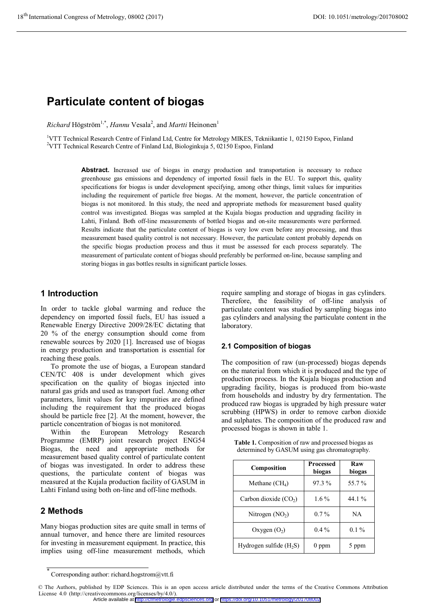# **Particulate content of biogas**

 $Richard H \ddot{o} gström^{1,*}, *Hannu* Vesala<sup>2</sup>, and *Martti* Heinonen<sup>1</sup>$ 

<sup>1</sup>VTT Technical Research Centre of Finland Ltd, Centre for Metrology MIKES, Tekniikantie 1, 02150 Espoo, Finland<br><sup>2</sup>VTT Technical Research Centre of Finland Ltd, Biologialaxie 5, 02150 Espoo, Finland  $2VTT$  Technical Research Centre of Finland Ltd, Biologinkuja 5, 02150 Espoo, Finland

> Abstract. Increased use of biogas in energy production and transportation is necessary to reduce greenhouse gas emissions and dependency of imported fossil fuels in the EU. To support this, quality specifications for biogas is under development specifying, among other things, limit values for impurities including the requirement of particle free biogas. At the moment, however, the particle concentration of biogas is not monitored. In this study, the need and appropriate methods for measurement based quality control was investigated. Biogas was sampled at the Kujala biogas production and upgrading facility in Lahti, Finland. Both off-line measurements of bottled biogas and on-site measurements were performed. Results indicate that the particulate content of biogas is very low even before any processing, and thus measurement based quality control is not necessary. However, the particulate content probably depends on the specific biogas production process and thus it must be assessed for each process separately. The measurement of particulate content of biogas should preferably be performed on-line, because sampling and storing biogas in gas bottles results in significant particle losses.

### **1 Introduction**

In order to tackle global warming and reduce the dependency on imported fossil fuels, EU has issued a Renewable Energy Directive 2009/28/EC dictating that 20 % of the energy consumption should come from renewable sources by 2020 [1]. Increased use of biogas in energy production and transportation is essential for reaching these goals.

To promote the use of biogas, a European standard CEN/TC 408 is under development which gives specification on the quality of biogas injected into natural gas grids and used as transport fuel. Among other parameters, limit values for key impurities are defined including the requirement that the produced biogas should be particle free [2]. At the moment, however, the particle concentration of biogas is not monitored.

Within the European Metrology Research Programme (EMRP) joint research project ENG54 Biogas, the need and appropriate methods for measurement based quality control of particulate content of biogas was investigated. In order to address these questions, the particulate content of biogas was measured at the Kujala production facility of GASUM in Lahti Finland using both on-line and off-line methods.

# **2 Methods**

Many biogas production sites are quite small in terms of annual turnover, and hence there are limited resources for investing in measurement equipment. In practice, this implies using off-line measurement methods, which

require sampling and storage of biogas in gas cylinders. Therefore, the feasibility of off-line analysis of particulate content was studied by sampling biogas into gas cylinders and analysing the particulate content in the laboratory.

### **2.1 Composition of biogas**

The composition of raw (un-processed) biogas depends on the material from which it is produced and the type of production process. In the Kujala biogas production and upgrading facility, biogas is produced from bio-waste from households and industry by dry fermentation. The produced raw biogas is upgraded by high pressure water scrubbing (HPWS) in order to remove carbon dioxide and sulphates. The composition of the produced raw and processed biogas is shown in table 1.

**Table 1.** Composition of raw and processed biogas as determined by GASUM using gas chromatography.

| Composition              | <b>Processed</b><br>biogas | Raw<br>biogas |
|--------------------------|----------------------------|---------------|
| Methane $(CH_4)$         | $97.3\%$                   | 55.7%         |
| Carbon dioxide $(CO2)$   | $1.6\%$                    | 44.1 %        |
| Nitrogen $(NO2)$         | $0.7\%$                    | NA            |
| Oxygen $(O_2)$           | $0.4\%$                    | $0.1\%$       |
| Hydrogen sulfide $(H2S)$ | ppm                        |               |

<sup>\*</sup> Corresponding author: richard.hogstrom@vtt.fi

<sup>©</sup> The Authors, published by EDP Sciences. This is an open access article distributed under the terms of the Creative Commons Attribution License 4.0 (http://creativecommons.org/licenses/by/4.0/). Article available at <http://cfmetrologie.edpsciences.org> or <https://doi.org/10.1051/metrology/201708002>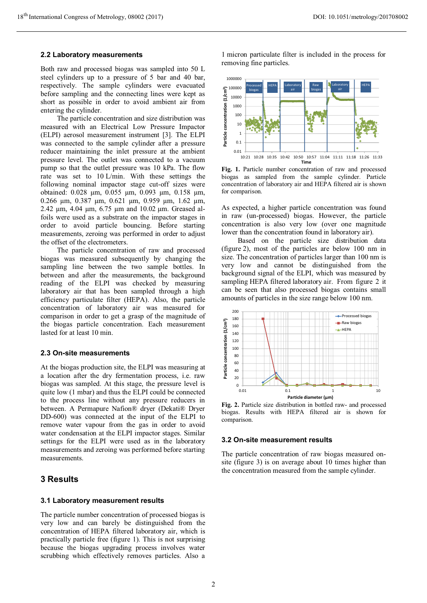#### **2.2 Laboratory measurements**

Both raw and processed biogas was sampled into 50 L steel cylinders up to a pressure of 5 bar and 40 bar, respectively. The sample cylinders were evacuated before sampling and the connecting lines were kept as short as possible in order to avoid ambient air from entering the cylinder.

The particle concentration and size distribution was measured with an Electrical Low Pressure Impactor (ELPI) aerosol measurement instrument [3]. The ELPI was connected to the sample cylinder after a pressure reducer maintaining the inlet pressure at the ambient pressure level. The outlet was connected to a vacuum pump so that the outlet pressure was 10 kPa. The flow rate was set to 10 L/min. With these settings the following nominal impactor stage cut-off sizes were obtained: 0.028 µm, 0.055 µm, 0.093 µm, 0.158 µm, 0.266 µm, 0.387 µm, 0.621 µm, 0.959 µm, 1.62 µm, 2.42 µm, 4.04 µm, 6.75 µm and 10.02 µm. Greased alfoils were used as a substrate on the impactor stages in order to avoid particle bouncing. Before starting measurements, zeroing was performed in order to adjust the offset of the electrometers.

The particle concentration of raw and processed biogas was measured subsequently by changing the sampling line between the two sample bottles. In between and after the measurements, the background reading of the ELPI was checked by measuring laboratory air that has been sampled through a high efficiency particulate filter (HEPA). Also, the particle concentration of laboratory air was measured for comparison in order to get a grasp of the magnitude of the biogas particle concentration. Each measurement lasted for at least 10 min.

#### **2.3 On-site measurements**

At the biogas production site, the ELPI was measuring at a location after the dry fermentation process, i.e. raw biogas was sampled. At this stage, the pressure level is quite low (1 mbar) and thus the ELPI could be connected to the process line without any pressure reducers in between. A Permapure Nafion® dryer (Dekati® Dryer DD-600) was connected at the input of the ELPI to remove water vapour from the gas in order to avoid water condensation at the ELPI impactor stages. Similar settings for the ELPI were used as in the laboratory measurements and zeroing was performed before starting measurements.

### **3 Results**

#### **3.1 Laboratory measurement results**

The particle number concentration of processed biogas is very low and can barely be distinguished from the concentration of HEPA filtered laboratory air, which is practically particle free (figure 1). This is not surprising because the biogas upgrading process involves water scrubbing which effectively removes particles. Also a

1 micron particulate filter is included in the process for removing fine particles.



**Fig. 1.** Particle number concentration of raw and processed biogas as sampled from the sample cylinder. Particle concentration of laboratory air and HEPA filtered air is shown for comparison.

As expected, a higher particle concentration was found in raw (un-processed) biogas. However, the particle concentration is also very low (over one magnitude lower than the concentration found in laboratory air).

Based on the particle size distribution data (figure 2), most of the particles are below 100 nm in size. The concentration of particles larger than 100 nm is very low and cannot be distinguished from the background signal of the ELPI, which was measured by sampling HEPA filtered laboratory air. From figure 2 it can be seen that also processed biogas contains small amounts of particles in the size range below 100 nm.



**Fig. 2.** Particle size distribution in bottled raw- and processed biogas. Results with HEPA filtered air is shown for comparison.

#### **3.2 On-site measurement results**

The particle concentration of raw biogas measured onsite (figure 3) is on average about 10 times higher than the concentration measured from the sample cylinder.